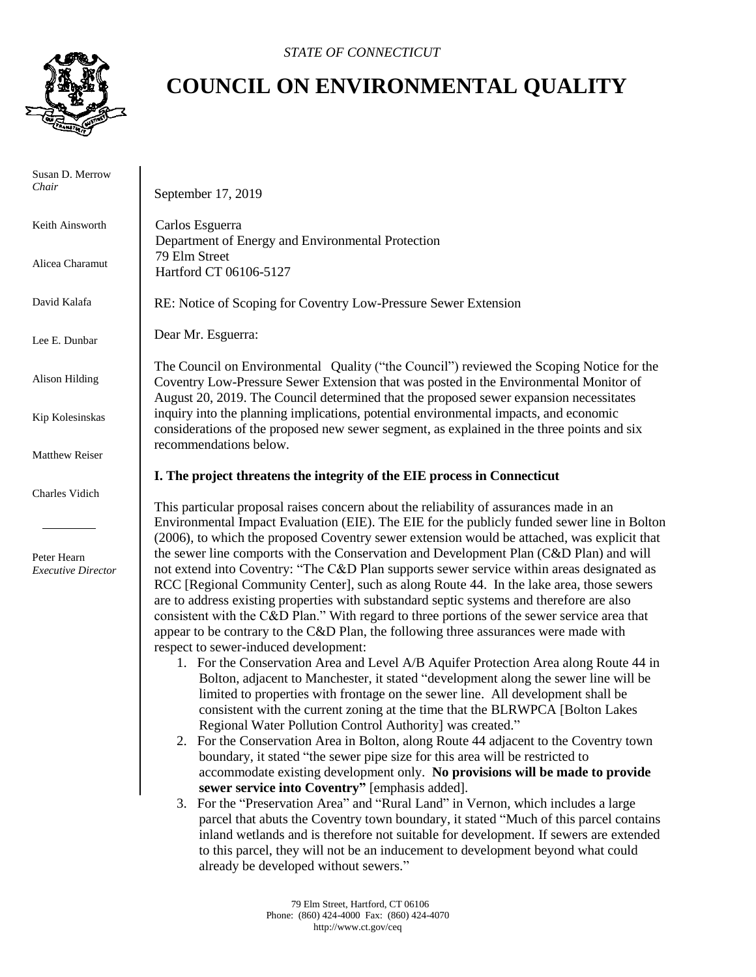

## **COUNCIL ON ENVIRONMENTAL QUALITY**

| Susan D. Merrow<br>Chair                 | September 17, 2019                                                                                                                                                                                                                                                                                                                                                                                                                                                                                                                                                                                          |
|------------------------------------------|-------------------------------------------------------------------------------------------------------------------------------------------------------------------------------------------------------------------------------------------------------------------------------------------------------------------------------------------------------------------------------------------------------------------------------------------------------------------------------------------------------------------------------------------------------------------------------------------------------------|
| Keith Ainsworth                          | Carlos Esguerra<br>Department of Energy and Environmental Protection                                                                                                                                                                                                                                                                                                                                                                                                                                                                                                                                        |
| Alicea Charamut                          | 79 Elm Street<br>Hartford CT 06106-5127                                                                                                                                                                                                                                                                                                                                                                                                                                                                                                                                                                     |
| David Kalafa                             | RE: Notice of Scoping for Coventry Low-Pressure Sewer Extension                                                                                                                                                                                                                                                                                                                                                                                                                                                                                                                                             |
| Lee E. Dunbar                            | Dear Mr. Esguerra:                                                                                                                                                                                                                                                                                                                                                                                                                                                                                                                                                                                          |
| Alison Hilding                           | The Council on Environmental Quality ("the Council") reviewed the Scoping Notice for the<br>Coventry Low-Pressure Sewer Extension that was posted in the Environmental Monitor of<br>August 20, 2019. The Council determined that the proposed sewer expansion necessitates                                                                                                                                                                                                                                                                                                                                 |
| Kip Kolesinskas                          | inquiry into the planning implications, potential environmental impacts, and economic<br>considerations of the proposed new sewer segment, as explained in the three points and six                                                                                                                                                                                                                                                                                                                                                                                                                         |
| Matthew Reiser                           | recommendations below.                                                                                                                                                                                                                                                                                                                                                                                                                                                                                                                                                                                      |
|                                          | I. The project threatens the integrity of the EIE process in Connecticut                                                                                                                                                                                                                                                                                                                                                                                                                                                                                                                                    |
| Charles Vidich                           | This particular proposal raises concern about the reliability of assurances made in an<br>Environmental Impact Evaluation (EIE). The EIE for the publicly funded sewer line in Bolton<br>(2006), to which the proposed Coventry sewer extension would be attached, was explicit that                                                                                                                                                                                                                                                                                                                        |
| Peter Hearn<br><b>Executive Director</b> | the sewer line comports with the Conservation and Development Plan (C&D Plan) and will<br>not extend into Coventry: "The C&D Plan supports sewer service within areas designated as<br>RCC [Regional Community Center], such as along Route 44. In the lake area, those sewers<br>are to address existing properties with substandard septic systems and therefore are also<br>consistent with the C&D Plan." With regard to three portions of the sewer service area that<br>appear to be contrary to the C&D Plan, the following three assurances were made with<br>respect to sewer-induced development: |
|                                          | 1. For the Conservation Area and Level A/B Aquifer Protection Area along Route 44 in<br>Bolton, adjacent to Manchester, it stated "development along the sewer line will be<br>limited to properties with frontage on the sewer line. All development shall be<br>consistent with the current zoning at the time that the BLRWPCA [Bolton Lakes<br>Regional Water Pollution Control Authority] was created."<br>2. For the Conservation Area in Bolton, along Route 44 adjacent to the Coventry town                                                                                                        |
|                                          | boundary, it stated "the sewer pipe size for this area will be restricted to<br>accommodate existing development only. No provisions will be made to provide<br>sewer service into Coventry" [emphasis added].<br>3. For the "Preservation Area" and "Rural Land" in Vernon, which includes a large<br>parcel that abuts the Coventry town boundary, it stated "Much of this parcel contains                                                                                                                                                                                                                |
|                                          | inland wetlands and is therefore not suitable for development. If sewers are extended<br>to this parcel, they will not be an inducement to development beyond what could<br>already be developed without sewers."                                                                                                                                                                                                                                                                                                                                                                                           |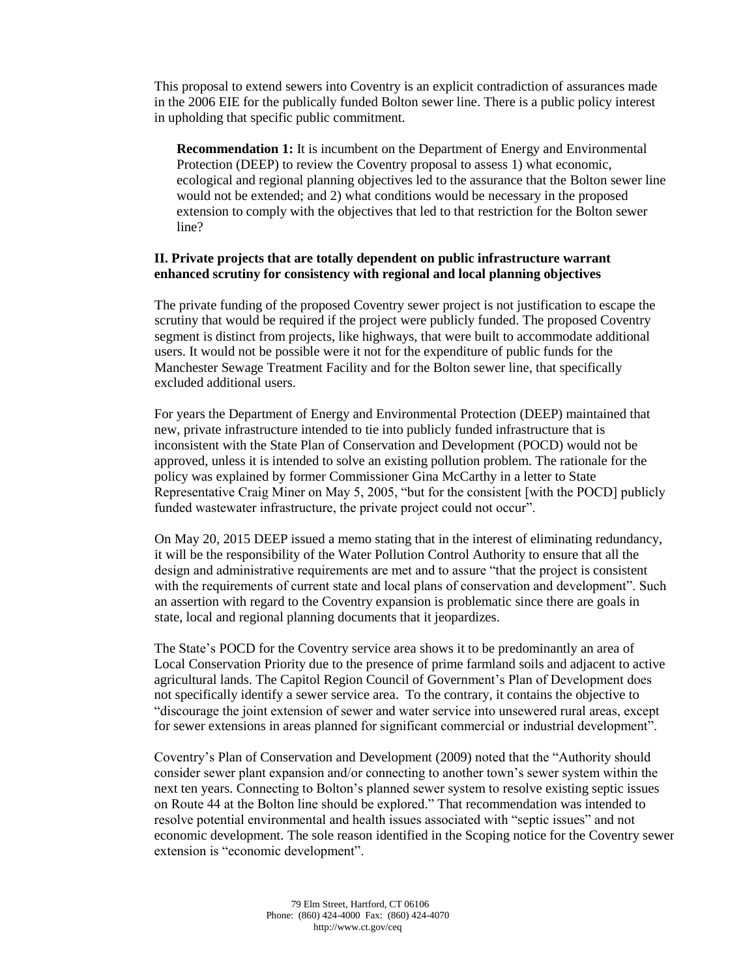This proposal to extend sewers into Coventry is an explicit contradiction of assurances made in the 2006 EIE for the publically funded Bolton sewer line. There is a public policy interest in upholding that specific public commitment.

**Recommendation 1:** It is incumbent on the Department of Energy and Environmental Protection (DEEP) to review the Coventry proposal to assess 1) what economic, ecological and regional planning objectives led to the assurance that the Bolton sewer line would not be extended; and 2) what conditions would be necessary in the proposed extension to comply with the objectives that led to that restriction for the Bolton sewer line?

## **II. Private projects that are totally dependent on public infrastructure warrant enhanced scrutiny for consistency with regional and local planning objectives**

The private funding of the proposed Coventry sewer project is not justification to escape the scrutiny that would be required if the project were publicly funded. The proposed Coventry segment is distinct from projects, like highways, that were built to accommodate additional users. It would not be possible were it not for the expenditure of public funds for the Manchester Sewage Treatment Facility and for the Bolton sewer line, that specifically excluded additional users.

For years the Department of Energy and Environmental Protection (DEEP) maintained that new, private infrastructure intended to tie into publicly funded infrastructure that is inconsistent with the State Plan of Conservation and Development (POCD) would not be approved, unless it is intended to solve an existing pollution problem. The rationale for the policy was explained by former Commissioner Gina McCarthy in a letter to State Representative Craig Miner on May 5, 2005, "but for the consistent [with the POCD] publicly funded wastewater infrastructure, the private project could not occur".

On May 20, 2015 DEEP issued a memo stating that in the interest of eliminating redundancy, it will be the responsibility of the Water Pollution Control Authority to ensure that all the design and administrative requirements are met and to assure "that the project is consistent with the requirements of current state and local plans of conservation and development". Such an assertion with regard to the Coventry expansion is problematic since there are goals in state, local and regional planning documents that it jeopardizes.

The State's POCD for the Coventry service area shows it to be predominantly an area of Local Conservation Priority due to the presence of prime farmland soils and adjacent to active agricultural lands. The Capitol Region Council of Government's Plan of Development does not specifically identify a sewer service area. To the contrary, it contains the objective to "discourage the joint extension of sewer and water service into unsewered rural areas, except for sewer extensions in areas planned for significant commercial or industrial development".

Coventry's Plan of Conservation and Development (2009) noted that the "Authority should consider sewer plant expansion and/or connecting to another town's sewer system within the next ten years. Connecting to Bolton's planned sewer system to resolve existing septic issues on Route 44 at the Bolton line should be explored." That recommendation was intended to resolve potential environmental and health issues associated with "septic issues" and not economic development. The sole reason identified in the Scoping notice for the Coventry sewer extension is "economic development".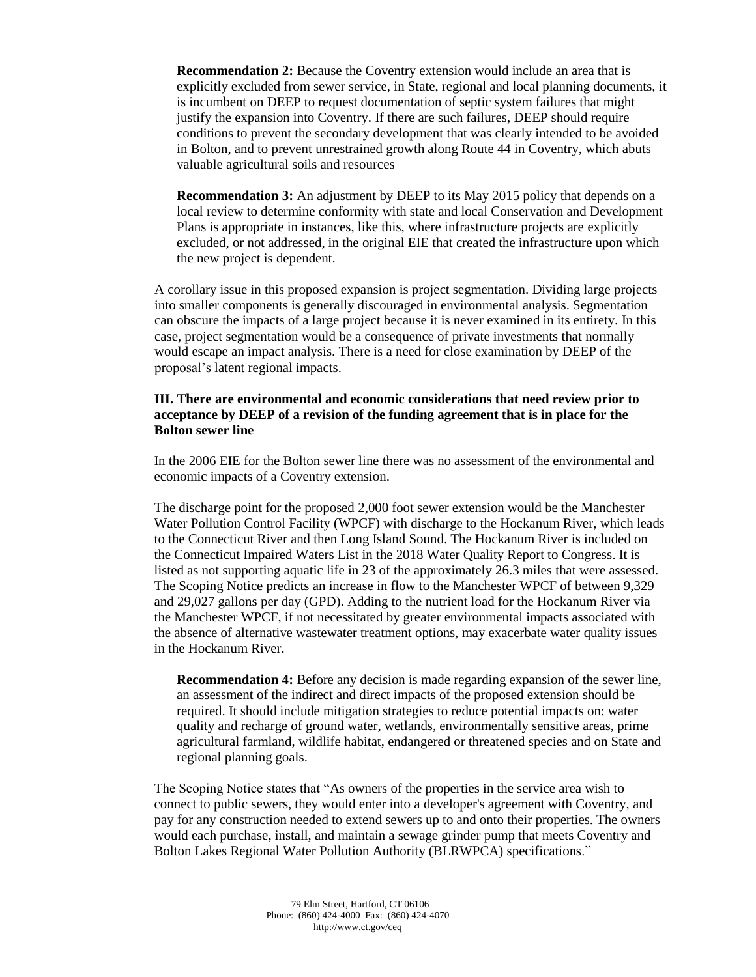**Recommendation 2:** Because the Coventry extension would include an area that is explicitly excluded from sewer service, in State, regional and local planning documents, it is incumbent on DEEP to request documentation of septic system failures that might justify the expansion into Coventry. If there are such failures, DEEP should require conditions to prevent the secondary development that was clearly intended to be avoided in Bolton, and to prevent unrestrained growth along Route 44 in Coventry, which abuts valuable agricultural soils and resources

**Recommendation 3:** An adjustment by DEEP to its May 2015 policy that depends on a local review to determine conformity with state and local Conservation and Development Plans is appropriate in instances, like this, where infrastructure projects are explicitly excluded, or not addressed, in the original EIE that created the infrastructure upon which the new project is dependent.

A corollary issue in this proposed expansion is project segmentation. Dividing large projects into smaller components is generally discouraged in environmental analysis. Segmentation can obscure the impacts of a large project because it is never examined in its entirety. In this case, project segmentation would be a consequence of private investments that normally would escape an impact analysis. There is a need for close examination by DEEP of the proposal's latent regional impacts.

## **III. There are environmental and economic considerations that need review prior to acceptance by DEEP of a revision of the funding agreement that is in place for the Bolton sewer line**

In the 2006 EIE for the Bolton sewer line there was no assessment of the environmental and economic impacts of a Coventry extension.

The discharge point for the proposed 2,000 foot sewer extension would be the Manchester Water Pollution Control Facility (WPCF) with discharge to the Hockanum River, which leads to the Connecticut River and then Long Island Sound. The Hockanum River is included on the Connecticut Impaired Waters List in the 2018 Water Quality Report to Congress. It is listed as not supporting aquatic life in 23 of the approximately 26.3 miles that were assessed. The Scoping Notice predicts an increase in flow to the Manchester WPCF of between 9,329 and 29,027 gallons per day (GPD). Adding to the nutrient load for the Hockanum River via the Manchester WPCF, if not necessitated by greater environmental impacts associated with the absence of alternative wastewater treatment options, may exacerbate water quality issues in the Hockanum River.

**Recommendation 4:** Before any decision is made regarding expansion of the sewer line, an assessment of the indirect and direct impacts of the proposed extension should be required. It should include mitigation strategies to reduce potential impacts on: water quality and recharge of ground water, wetlands, environmentally sensitive areas, prime agricultural farmland, wildlife habitat, endangered or threatened species and on State and regional planning goals.

The Scoping Notice states that "As owners of the properties in the service area wish to connect to public sewers, they would enter into a developer's agreement with Coventry, and pay for any construction needed to extend sewers up to and onto their properties. The owners would each purchase, install, and maintain a sewage grinder pump that meets Coventry and Bolton Lakes Regional Water Pollution Authority (BLRWPCA) specifications."